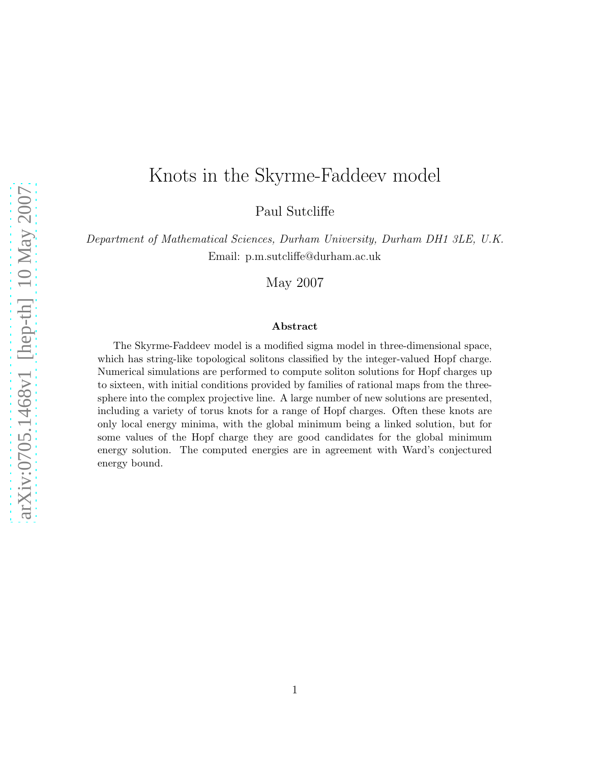# Knots in the Skyrme-Faddeev model

Paul Sutcliffe

Department of Mathematical Sciences, Durham University, Durham DH1 3LE, U.K. Email: p.m.sutcliffe@durham.ac.uk

May 2007

#### Abstract

The Skyrme-Faddeev model is a modified sigma model in three-dimensional space, which has string-like topological solitons classified by the integer-valued Hopf charge. Numerical simulations are performed to compute soliton solutions for Hopf charges up to sixteen, with initial conditions provided by families of rational maps from the threesphere into the complex projective line. A large number of new solutions are presented, including a variety of torus knots for a range of Hopf charges. Often these knots are only local energy minima, with the global minimum being a linked solution, but for some values of the Hopf charge they are good candidates for the global minimum energy solution. The computed energies are in agreement with Ward's conjectured energy bound.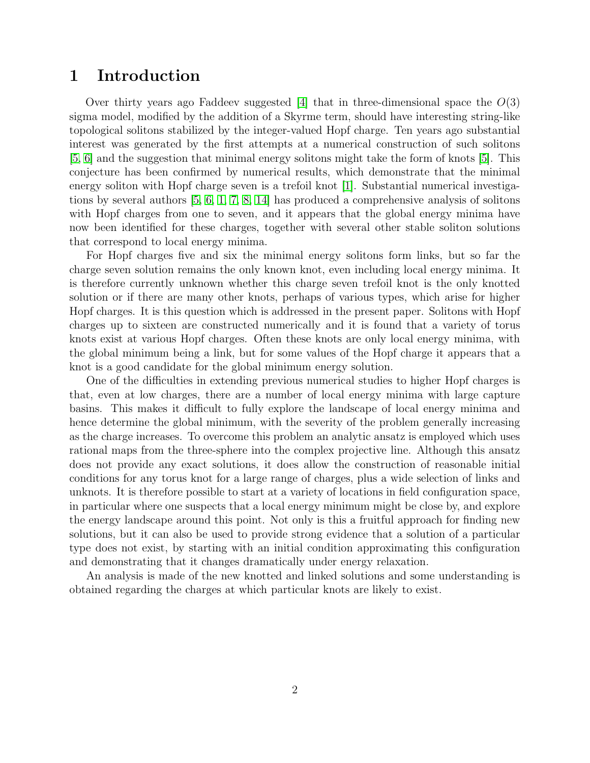#### 1 Introduction

Over thirty years ago Faddeev suggested [\[4\]](#page-19-0) that in three-dimensional space the  $O(3)$ sigma model, modified by the addition of a Skyrme term, should have interesting string-like topological solitons stabilized by the integer-valued Hopf charge. Ten years ago substantial interest was generated by the first attempts at a numerical construction of such solitons [\[5,](#page-19-1) [6\]](#page-19-2) and the suggestion that minimal energy solitons might take the form of knots [\[5\]](#page-19-1). This conjecture has been confirmed by numerical results, which demonstrate that the minimal energy soliton with Hopf charge seven is a trefoil knot [\[1\]](#page-19-3). Substantial numerical investigations by several authors [\[5,](#page-19-1) [6,](#page-19-2) [1,](#page-19-3) [7,](#page-19-4) [8,](#page-19-5) [14\]](#page-20-0) has produced a comprehensive analysis of solitons with Hopf charges from one to seven, and it appears that the global energy minima have now been identified for these charges, together with several other stable soliton solutions that correspond to local energy minima.

For Hopf charges five and six the minimal energy solitons form links, but so far the charge seven solution remains the only known knot, even including local energy minima. It is therefore currently unknown whether this charge seven trefoil knot is the only knotted solution or if there are many other knots, perhaps of various types, which arise for higher Hopf charges. It is this question which is addressed in the present paper. Solitons with Hopf charges up to sixteen are constructed numerically and it is found that a variety of torus knots exist at various Hopf charges. Often these knots are only local energy minima, with the global minimum being a link, but for some values of the Hopf charge it appears that a knot is a good candidate for the global minimum energy solution.

One of the difficulties in extending previous numerical studies to higher Hopf charges is that, even at low charges, there are a number of local energy minima with large capture basins. This makes it difficult to fully explore the landscape of local energy minima and hence determine the global minimum, with the severity of the problem generally increasing as the charge increases. To overcome this problem an analytic ansatz is employed which uses rational maps from the three-sphere into the complex projective line. Although this ansatz does not provide any exact solutions, it does allow the construction of reasonable initial conditions for any torus knot for a large range of charges, plus a wide selection of links and unknots. It is therefore possible to start at a variety of locations in field configuration space, in particular where one suspects that a local energy minimum might be close by, and explore the energy landscape around this point. Not only is this a fruitful approach for finding new solutions, but it can also be used to provide strong evidence that a solution of a particular type does not exist, by starting with an initial condition approximating this configuration and demonstrating that it changes dramatically under energy relaxation.

An analysis is made of the new knotted and linked solutions and some understanding is obtained regarding the charges at which particular knots are likely to exist.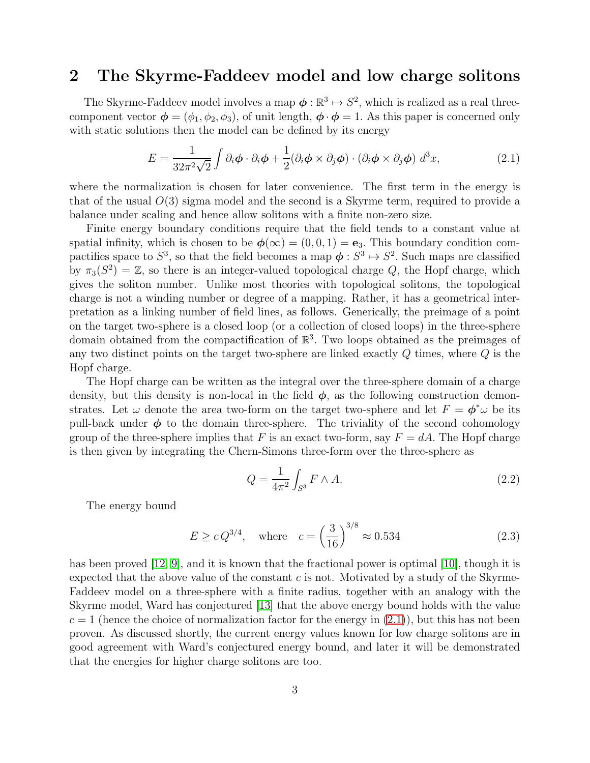#### 2 The Skyrme-Faddeev model and low charge solitons

The Skyrme-Faddeev model involves a map  $\phi : \mathbb{R}^3 \mapsto S^2$ , which is realized as a real threecomponent vector  $\phi = (\phi_1, \phi_2, \phi_3)$ , of unit length,  $\phi \cdot \phi = 1$ . As this paper is concerned only with static solutions then the model can be defined by its energy

<span id="page-2-0"></span>
$$
E = \frac{1}{32\pi^2\sqrt{2}} \int \partial_i \phi \cdot \partial_i \phi + \frac{1}{2} (\partial_i \phi \times \partial_j \phi) \cdot (\partial_i \phi \times \partial_j \phi) d^3 x,
$$
 (2.1)

where the normalization is chosen for later convenience. The first term in the energy is that of the usual  $O(3)$  sigma model and the second is a Skyrme term, required to provide a balance under scaling and hence allow solitons with a finite non-zero size.

Finite energy boundary conditions require that the field tends to a constant value at spatial infinity, which is chosen to be  $\phi(\infty) = (0, 0, 1) = e_3$ . This boundary condition compactifies space to  $S^3$ , so that the field becomes a map  $\phi: S^3 \mapsto S^2$ . Such maps are classified by  $\pi_3(S^2) = \mathbb{Z}$ , so there is an integer-valued topological charge Q, the Hopf charge, which gives the soliton number. Unlike most theories with topological solitons, the topological charge is not a winding number or degree of a mapping. Rather, it has a geometrical interpretation as a linking number of field lines, as follows. Generically, the preimage of a point on the target two-sphere is a closed loop (or a collection of closed loops) in the three-sphere domain obtained from the compactification of  $\mathbb{R}^3$ . Two loops obtained as the preimages of any two distinct points on the target two-sphere are linked exactly Q times, where Q is the Hopf charge.

The Hopf charge can be written as the integral over the three-sphere domain of a charge density, but this density is non-local in the field  $\phi$ , as the following construction demonstrates. Let  $\omega$  denote the area two-form on the target two-sphere and let  $F = \phi^* \omega$  be its pull-back under  $\phi$  to the domain three-sphere. The triviality of the second cohomology group of the three-sphere implies that F is an exact two-form, say  $F = dA$ . The Hopf charge is then given by integrating the Chern-Simons three-form over the three-sphere as

$$
Q = \frac{1}{4\pi^2} \int_{S^3} F \wedge A. \tag{2.2}
$$

The energy bound

$$
E \ge c Q^{3/4}
$$
, where  $c = \left(\frac{3}{16}\right)^{3/8} \approx 0.534$  (2.3)

has been proved [\[12,](#page-20-1) [9\]](#page-19-6), and it is known that the fractional power is optimal [\[10\]](#page-19-7), though it is expected that the above value of the constant  $c$  is not. Motivated by a study of the Skyrme-Faddeev model on a three-sphere with a finite radius, together with an analogy with the Skyrme model, Ward has conjectured [\[13\]](#page-20-2) that the above energy bound holds with the value  $c = 1$  (hence the choice of normalization factor for the energy in  $(2.1)$ ), but this has not been proven. As discussed shortly, the current energy values known for low charge solitons are in good agreement with Ward's conjectured energy bound, and later it will be demonstrated that the energies for higher charge solitons are too.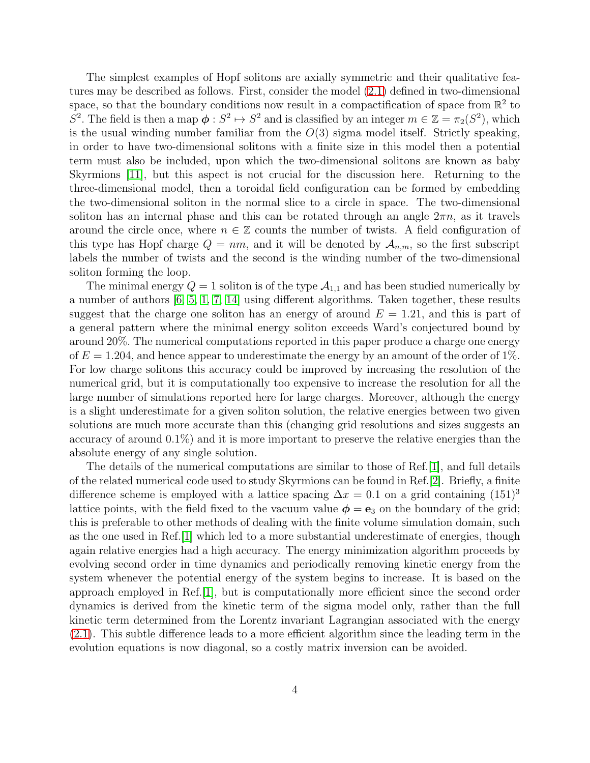The simplest examples of Hopf solitons are axially symmetric and their qualitative features may be described as follows. First, consider the model [\(2.1\)](#page-2-0) defined in two-dimensional space, so that the boundary conditions now result in a compactification of space from  $\mathbb{R}^2$  to  $S^2$ . The field is then a map  $\phi: S^2 \mapsto S^2$  and is classified by an integer  $m \in \mathbb{Z} = \pi_2(S^2)$ , which is the usual winding number familiar from the  $O(3)$  sigma model itself. Strictly speaking, in order to have two-dimensional solitons with a finite size in this model then a potential term must also be included, upon which the two-dimensional solitons are known as baby Skyrmions [\[11\]](#page-19-8), but this aspect is not crucial for the discussion here. Returning to the three-dimensional model, then a toroidal field configuration can be formed by embedding the two-dimensional soliton in the normal slice to a circle in space. The two-dimensional soliton has an internal phase and this can be rotated through an angle  $2\pi n$ , as it travels around the circle once, where  $n \in \mathbb{Z}$  counts the number of twists. A field configuration of this type has Hopf charge  $Q = nm$ , and it will be denoted by  $A_{n,m}$ , so the first subscript labels the number of twists and the second is the winding number of the two-dimensional soliton forming the loop.

The minimal energy  $Q = 1$  soliton is of the type  $\mathcal{A}_{1,1}$  and has been studied numerically by a number of authors [\[6,](#page-19-2) [5,](#page-19-1) [1,](#page-19-3) [7,](#page-19-4) [14\]](#page-20-0) using different algorithms. Taken together, these results suggest that the charge one soliton has an energy of around  $E = 1.21$ , and this is part of a general pattern where the minimal energy soliton exceeds Ward's conjectured bound by around 20%. The numerical computations reported in this paper produce a charge one energy of  $E = 1.204$ , and hence appear to underestimate the energy by an amount of the order of 1%. For low charge solitons this accuracy could be improved by increasing the resolution of the numerical grid, but it is computationally too expensive to increase the resolution for all the large number of simulations reported here for large charges. Moreover, although the energy is a slight underestimate for a given soliton solution, the relative energies between two given solutions are much more accurate than this (changing grid resolutions and sizes suggests an accuracy of around 0.1%) and it is more important to preserve the relative energies than the absolute energy of any single solution.

The details of the numerical computations are similar to those of Ref.[\[1\]](#page-19-3), and full details of the related numerical code used to study Skyrmions can be found in Ref.[\[2\]](#page-19-9). Briefly, a finite difference scheme is employed with a lattice spacing  $\Delta x = 0.1$  on a grid containing  $(151)^3$ lattice points, with the field fixed to the vacuum value  $\phi = e_3$  on the boundary of the grid; this is preferable to other methods of dealing with the finite volume simulation domain, such as the one used in Ref.[\[1\]](#page-19-3) which led to a more substantial underestimate of energies, though again relative energies had a high accuracy. The energy minimization algorithm proceeds by evolving second order in time dynamics and periodically removing kinetic energy from the system whenever the potential energy of the system begins to increase. It is based on the approach employed in Ref.[\[1\]](#page-19-3), but is computationally more efficient since the second order dynamics is derived from the kinetic term of the sigma model only, rather than the full kinetic term determined from the Lorentz invariant Lagrangian associated with the energy [\(2.1\)](#page-2-0). This subtle difference leads to a more efficient algorithm since the leading term in the evolution equations is now diagonal, so a costly matrix inversion can be avoided.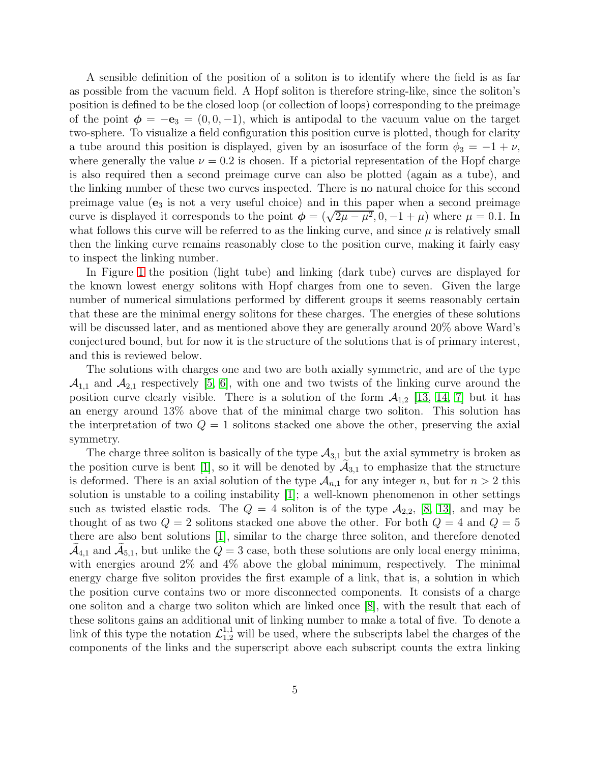A sensible definition of the position of a soliton is to identify where the field is as far as possible from the vacuum field. A Hopf soliton is therefore string-like, since the soliton's position is defined to be the closed loop (or collection of loops) corresponding to the preimage of the point  $\phi = -e_3 = (0, 0, -1)$ , which is antipodal to the vacuum value on the target two-sphere. To visualize a field configuration this position curve is plotted, though for clarity a tube around this position is displayed, given by an isosurface of the form  $\phi_3 = -1 + \nu$ , where generally the value  $\nu = 0.2$  is chosen. If a pictorial representation of the Hopf charge is also required then a second preimage curve can also be plotted (again as a tube), and the linking number of these two curves inspected. There is no natural choice for this second preimage value  $(e_3)$  is not a very useful choice) and in this paper when a second preimage curve is displayed it corresponds to the point  $\phi = (\sqrt{2\mu - \mu^2}, 0, -1 + \mu)$  where  $\mu = 0.1$ . In what follows this curve will be referred to as the linking curve, and since  $\mu$  is relatively small then the linking curve remains reasonably close to the position curve, making it fairly easy to inspect the linking number.

In Figure [1](#page-5-0) the position (light tube) and linking (dark tube) curves are displayed for the known lowest energy solitons with Hopf charges from one to seven. Given the large number of numerical simulations performed by different groups it seems reasonably certain that these are the minimal energy solitons for these charges. The energies of these solutions will be discussed later, and as mentioned above they are generally around 20% above Ward's conjectured bound, but for now it is the structure of the solutions that is of primary interest, and this is reviewed below.

The solutions with charges one and two are both axially symmetric, and are of the type  $\mathcal{A}_{1,1}$  and  $\mathcal{A}_{2,1}$  respectively [\[5,](#page-19-1) [6\]](#page-19-2), with one and two twists of the linking curve around the position curve clearly visible. There is a solution of the form  $A_{1,2}$  [\[13,](#page-20-2) [14,](#page-20-0) [7\]](#page-19-4) but it has an energy around 13% above that of the minimal charge two soliton. This solution has the interpretation of two  $Q = 1$  solitons stacked one above the other, preserving the axial symmetry.

The charge three soliton is basically of the type  $A_{3,1}$  but the axial symmetry is broken as the position curve is bent [\[1\]](#page-19-3), so it will be denoted by  $\mathcal{A}_{3,1}$  to emphasize that the structure is deformed. There is an axial solution of the type  $A_{n,1}$  for any integer n, but for  $n > 2$  this solution is unstable to a coiling instability [\[1\]](#page-19-3); a well-known phenomenon in other settings such as twisted elastic rods. The  $Q = 4$  soliton is of the type  $\mathcal{A}_{2,2}$ , [\[8,](#page-19-5) [13\]](#page-20-2), and may be thought of as two  $Q = 2$  solitons stacked one above the other. For both  $Q = 4$  and  $Q = 5$ there are also bent solutions [\[1\]](#page-19-3), similar to the charge three soliton, and therefore denoted  $\mathcal{A}_{4,1}$  and  $\mathcal{A}_{5,1}$ , but unlike the  $Q=3$  case, both these solutions are only local energy minima, with energies around 2% and 4% above the global minimum, respectively. The minimal energy charge five soliton provides the first example of a link, that is, a solution in which the position curve contains two or more disconnected components. It consists of a charge one soliton and a charge two soliton which are linked once [\[8\]](#page-19-5), with the result that each of these solitons gains an additional unit of linking number to make a total of five. To denote a link of this type the notation  $\mathcal{L}_{1,2}^{1,1}$  will be used, where the subscripts label the charges of the components of the links and the superscript above each subscript counts the extra linking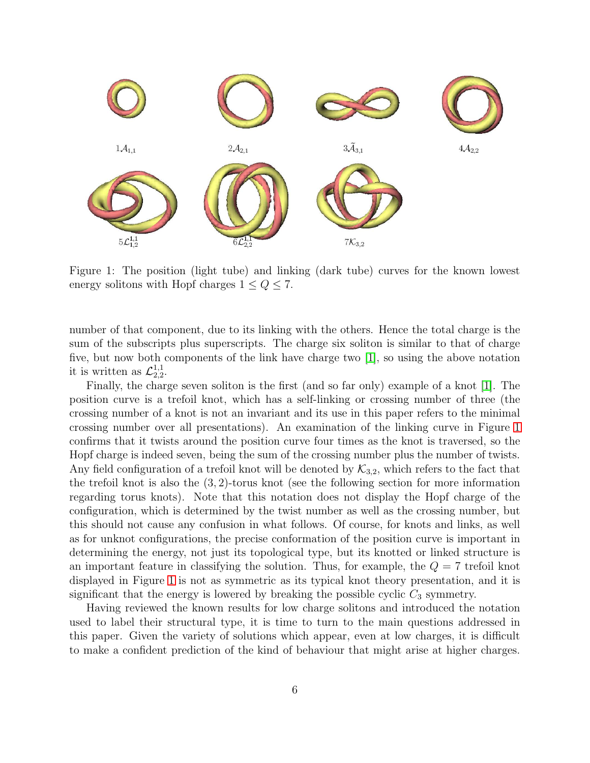

<span id="page-5-0"></span>Figure 1: The position (light tube) and linking (dark tube) curves for the known lowest energy solitons with Hopf charges  $1 \leq Q \leq 7$ .

number of that component, due to its linking with the others. Hence the total charge is the sum of the subscripts plus superscripts. The charge six soliton is similar to that of charge five, but now both components of the link have charge two [\[1\]](#page-19-3), so using the above notation it is written as  $\mathcal{L}_{2,2}^{1,1}$  $^{1,1}_{2,2}$ .

Finally, the charge seven soliton is the first (and so far only) example of a knot [\[1\]](#page-19-3). The position curve is a trefoil knot, which has a self-linking or crossing number of three (the crossing number of a knot is not an invariant and its use in this paper refers to the minimal crossing number over all presentations). An examination of the linking curve in Figure [1](#page-5-0) confirms that it twists around the position curve four times as the knot is traversed, so the Hopf charge is indeed seven, being the sum of the crossing number plus the number of twists. Any field configuration of a trefoil knot will be denoted by  $\mathcal{K}_{3,2}$ , which refers to the fact that the trefoil knot is also the  $(3, 2)$ -torus knot (see the following section for more information regarding torus knots). Note that this notation does not display the Hopf charge of the configuration, which is determined by the twist number as well as the crossing number, but this should not cause any confusion in what follows. Of course, for knots and links, as well as for unknot configurations, the precise conformation of the position curve is important in determining the energy, not just its topological type, but its knotted or linked structure is an important feature in classifying the solution. Thus, for example, the  $Q = 7$  trefoil knot displayed in Figure [1](#page-5-0) is not as symmetric as its typical knot theory presentation, and it is significant that the energy is lowered by breaking the possible cyclic  $C_3$  symmetry.

Having reviewed the known results for low charge solitons and introduced the notation used to label their structural type, it is time to turn to the main questions addressed in this paper. Given the variety of solutions which appear, even at low charges, it is difficult to make a confident prediction of the kind of behaviour that might arise at higher charges.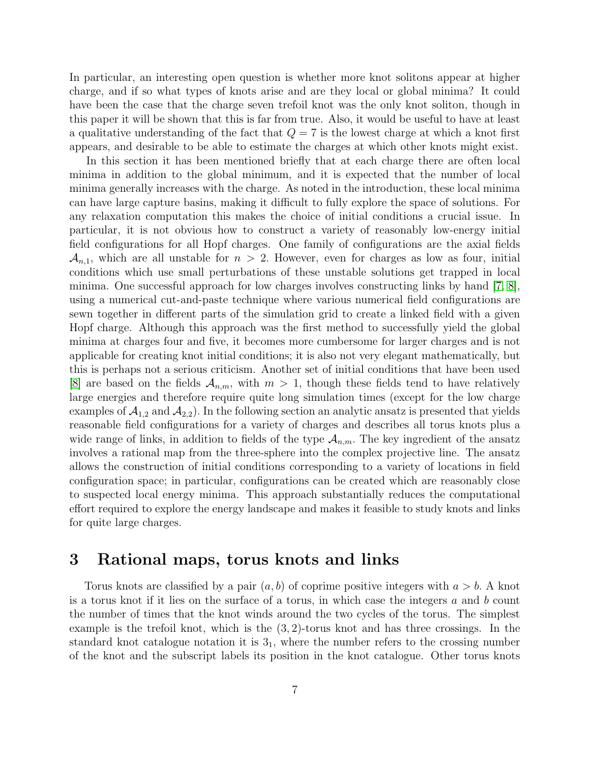In particular, an interesting open question is whether more knot solitons appear at higher charge, and if so what types of knots arise and are they local or global minima? It could have been the case that the charge seven trefoil knot was the only knot soliton, though in this paper it will be shown that this is far from true. Also, it would be useful to have at least a qualitative understanding of the fact that  $Q = 7$  is the lowest charge at which a knot first appears, and desirable to be able to estimate the charges at which other knots might exist.

In this section it has been mentioned briefly that at each charge there are often local minima in addition to the global minimum, and it is expected that the number of local minima generally increases with the charge. As noted in the introduction, these local minima can have large capture basins, making it difficult to fully explore the space of solutions. For any relaxation computation this makes the choice of initial conditions a crucial issue. In particular, it is not obvious how to construct a variety of reasonably low-energy initial field configurations for all Hopf charges. One family of configurations are the axial fields  $\mathcal{A}_{n,1}$ , which are all unstable for  $n > 2$ . However, even for charges as low as four, initial conditions which use small perturbations of these unstable solutions get trapped in local minima. One successful approach for low charges involves constructing links by hand [\[7,](#page-19-4) [8\]](#page-19-5), using a numerical cut-and-paste technique where various numerical field configurations are sewn together in different parts of the simulation grid to create a linked field with a given Hopf charge. Although this approach was the first method to successfully yield the global minima at charges four and five, it becomes more cumbersome for larger charges and is not applicable for creating knot initial conditions; it is also not very elegant mathematically, but this is perhaps not a serious criticism. Another set of initial conditions that have been used [\[8\]](#page-19-5) are based on the fields  $A_{n,m}$ , with  $m > 1$ , though these fields tend to have relatively large energies and therefore require quite long simulation times (except for the low charge examples of  $A_{1,2}$  and  $A_{2,2}$ ). In the following section an analytic ansatz is presented that yields reasonable field configurations for a variety of charges and describes all torus knots plus a wide range of links, in addition to fields of the type  $A_{n,m}$ . The key ingredient of the ansatz involves a rational map from the three-sphere into the complex projective line. The ansatz allows the construction of initial conditions corresponding to a variety of locations in field configuration space; in particular, configurations can be created which are reasonably close to suspected local energy minima. This approach substantially reduces the computational effort required to explore the energy landscape and makes it feasible to study knots and links for quite large charges.

# 3 Rational maps, torus knots and links

Torus knots are classified by a pair  $(a, b)$  of coprime positive integers with  $a > b$ . A knot is a torus knot if it lies on the surface of a torus, in which case the integers  $a$  and  $b$  count the number of times that the knot winds around the two cycles of the torus. The simplest example is the trefoil knot, which is the (3, 2)-torus knot and has three crossings. In the standard knot catalogue notation it is  $3<sub>1</sub>$ , where the number refers to the crossing number of the knot and the subscript labels its position in the knot catalogue. Other torus knots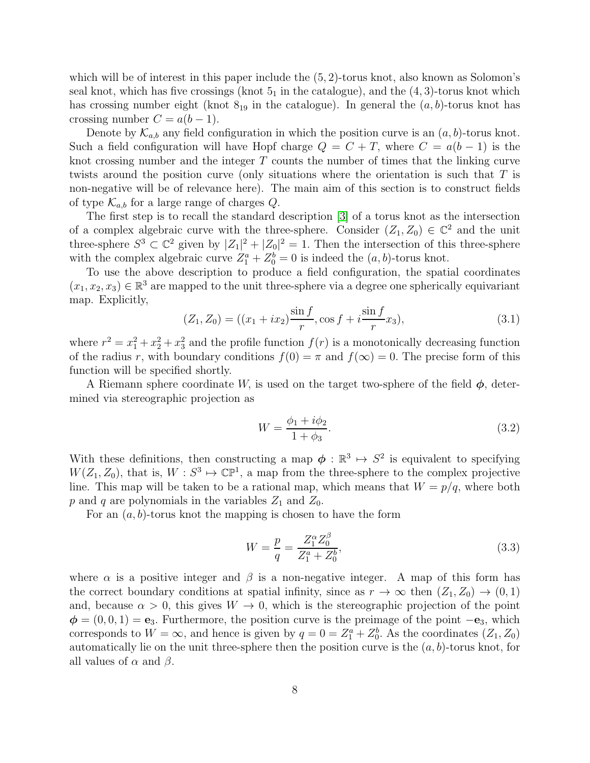which will be of interest in this paper include the  $(5, 2)$ -torus knot, also known as Solomon's seal knot, which has five crossings (knot  $5<sub>1</sub>$  in the catalogue), and the  $(4, 3)$ -torus knot which has crossing number eight (knot  $8_{19}$  in the catalogue). In general the  $(a, b)$ -torus knot has crossing number  $C = a(b-1)$ .

Denote by  $\mathcal{K}_{a,b}$  any field configuration in which the position curve is an  $(a, b)$ -torus knot. Such a field configuration will have Hopf charge  $Q = C + T$ , where  $C = a(b - 1)$  is the knot crossing number and the integer  $T$  counts the number of times that the linking curve twists around the position curve (only situations where the orientation is such that T is non-negative will be of relevance here). The main aim of this section is to construct fields of type  $\mathcal{K}_{a,b}$  for a large range of charges Q.

The first step is to recall the standard description [\[3\]](#page-19-10) of a torus knot as the intersection of a complex algebraic curve with the three-sphere. Consider  $(Z_1, Z_0) \in \mathbb{C}^2$  and the unit three-sphere  $S^3 \subset \mathbb{C}^2$  given by  $|Z_1|^2 + |Z_0|^2 = 1$ . Then the intersection of this three-sphere with the complex algebraic curve  $Z_1^a + Z_0^b = 0$  is indeed the  $(a, b)$ -torus knot.

To use the above description to produce a field configuration, the spatial coordinates  $(x_1, x_2, x_3) \in \mathbb{R}^3$  are mapped to the unit three-sphere via a degree one spherically equivariant map. Explicitly,

$$
(Z_1, Z_0) = ((x_1 + ix_2)\frac{\sin f}{r}, \cos f + i\frac{\sin f}{r}x_3), \tag{3.1}
$$

where  $r^2 = x_1^2 + x_2^2 + x_3^2$  and the profile function  $f(r)$  is a monotonically decreasing function of the radius r, with boundary conditions  $f(0) = \pi$  and  $f(\infty) = 0$ . The precise form of this function will be specified shortly.

A Riemann sphere coordinate W, is used on the target two-sphere of the field  $\phi$ , determined via stereographic projection as

$$
W = \frac{\phi_1 + i\phi_2}{1 + \phi_3}.
$$
\n(3.2)

With these definitions, then constructing a map  $\phi : \mathbb{R}^3 \mapsto S^2$  is equivalent to specifying  $W(Z_1, Z_0)$ , that is,  $W : S^3 \mapsto \mathbb{CP}^1$ , a map from the three-sphere to the complex projective line. This map will be taken to be a rational map, which means that  $W = p/q$ , where both p and q are polynomials in the variables  $Z_1$  and  $Z_0$ .

For an  $(a, b)$ -torus knot the mapping is chosen to have the form

<span id="page-7-0"></span>
$$
W = \frac{p}{q} = \frac{Z_1^{\alpha} Z_0^{\beta}}{Z_1^{\alpha} + Z_0^b},\tag{3.3}
$$

where  $\alpha$  is a positive integer and  $\beta$  is a non-negative integer. A map of this form has the correct boundary conditions at spatial infinity, since as  $r \to \infty$  then  $(Z_1, Z_0) \to (0, 1)$ and, because  $\alpha > 0$ , this gives  $W \to 0$ , which is the stereographic projection of the point  $\phi = (0, 0, 1) = e_3$ . Furthermore, the position curve is the preimage of the point  $-e_3$ , which corresponds to  $W = \infty$ , and hence is given by  $q = 0 = Z_1^a + Z_0^b$ . As the coordinates  $(Z_1, Z_0)$ automatically lie on the unit three-sphere then the position curve is the  $(a, b)$ -torus knot, for all values of  $\alpha$  and  $\beta$ .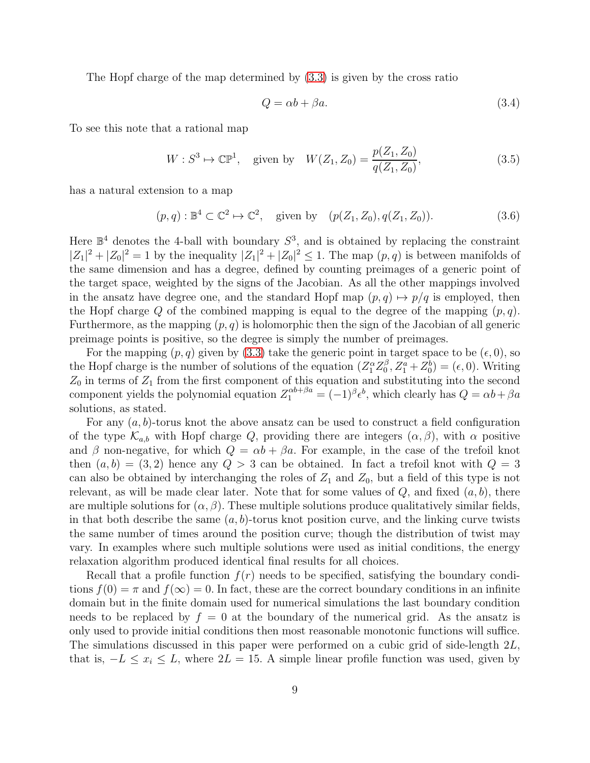The Hopf charge of the map determined by [\(3.3\)](#page-7-0) is given by the cross ratio

$$
Q = \alpha b + \beta a. \tag{3.4}
$$

To see this note that a rational map

$$
W: S^3 \mapsto \mathbb{CP}^1, \quad \text{given by} \quad W(Z_1, Z_0) = \frac{p(Z_1, Z_0)}{q(Z_1, Z_0)},\tag{3.5}
$$

has a natural extension to a map

$$
(p,q): \mathbb{B}^4 \subset \mathbb{C}^2 \mapsto \mathbb{C}^2, \quad \text{given by} \quad (p(Z_1, Z_0), q(Z_1, Z_0)). \tag{3.6}
$$

Here  $\mathbb{B}^4$  denotes the 4-ball with boundary  $S^3$ , and is obtained by replacing the constraint  $|Z_1|^2 + |Z_0|^2 = 1$  by the inequality  $|Z_1|^2 + |Z_0|^2 \le 1$ . The map  $(p, q)$  is between manifolds of the same dimension and has a degree, defined by counting preimages of a generic point of the target space, weighted by the signs of the Jacobian. As all the other mappings involved in the ansatz have degree one, and the standard Hopf map  $(p, q) \mapsto p/q$  is employed, then the Hopf charge Q of the combined mapping is equal to the degree of the mapping  $(p, q)$ . Furthermore, as the mapping  $(p, q)$  is holomorphic then the sign of the Jacobian of all generic preimage points is positive, so the degree is simply the number of preimages.

For the mapping  $(p, q)$  given by [\(3.3\)](#page-7-0) take the generic point in target space to be  $(\epsilon, 0)$ , so the Hopf charge is the number of solutions of the equation  $(Z_1^{\alpha} Z_0^{\beta}, Z_1^a + Z_0^b) = (\epsilon, 0)$ . Writing  $Z_0$  in terms of  $Z_1$  from the first component of this equation and substituting into the second component yields the polynomial equation  $Z_1^{\alpha b+\beta a} = (-1)^{\beta} \epsilon^b$ , which clearly has  $Q = \alpha b + \beta a$ solutions, as stated.

For any  $(a, b)$ -torus knot the above ansatz can be used to construct a field configuration of the type  $\mathcal{K}_{a,b}$  with Hopf charge Q, providing there are integers  $(\alpha, \beta)$ , with  $\alpha$  positive and  $\beta$  non-negative, for which  $Q = \alpha b + \beta a$ . For example, in the case of the trefoil knot then  $(a, b) = (3, 2)$  hence any  $Q > 3$  can be obtained. In fact a trefoil knot with  $Q = 3$ can also be obtained by interchanging the roles of  $Z_1$  and  $Z_0$ , but a field of this type is not relevant, as will be made clear later. Note that for some values of  $Q$ , and fixed  $(a, b)$ , there are multiple solutions for  $(\alpha, \beta)$ . These multiple solutions produce qualitatively similar fields, in that both describe the same  $(a, b)$ -torus knot position curve, and the linking curve twists the same number of times around the position curve; though the distribution of twist may vary. In examples where such multiple solutions were used as initial conditions, the energy relaxation algorithm produced identical final results for all choices.

Recall that a profile function  $f(r)$  needs to be specified, satisfying the boundary conditions  $f(0) = \pi$  and  $f(\infty) = 0$ . In fact, these are the correct boundary conditions in an infinite domain but in the finite domain used for numerical simulations the last boundary condition needs to be replaced by  $f = 0$  at the boundary of the numerical grid. As the ansatz is only used to provide initial conditions then most reasonable monotonic functions will suffice. The simulations discussed in this paper were performed on a cubic grid of side-length 2L, that is,  $-L \leq x_i \leq L$ , where  $2L = 15$ . A simple linear profile function was used, given by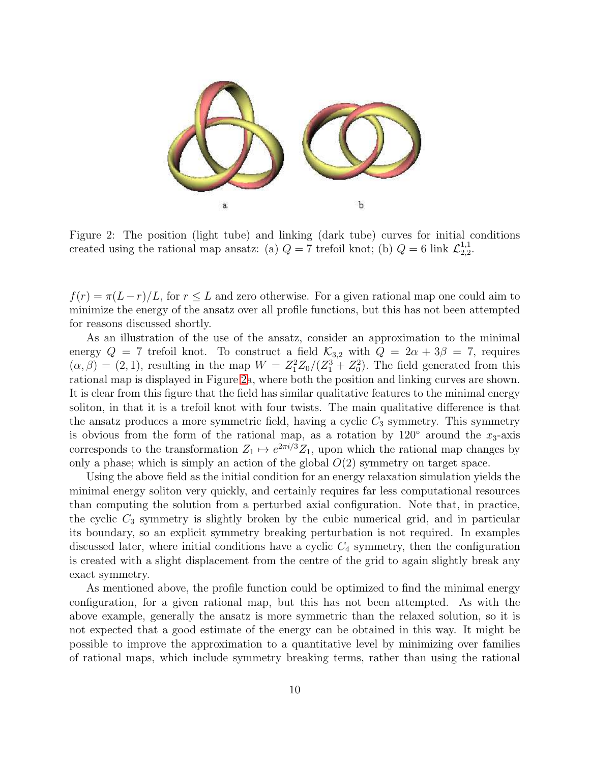

<span id="page-9-0"></span>Figure 2: The position (light tube) and linking (dark tube) curves for initial conditions created using the rational map ansatz: (a)  $Q = 7$  trefoil knot; (b)  $Q = 6$  link  $\mathcal{L}_{2,2}^{1,1}$  $^{1,1}_{2,2}$ .

 $f(r) = \pi (L-r)/L$ , for  $r \leq L$  and zero otherwise. For a given rational map one could aim to minimize the energy of the ansatz over all profile functions, but this has not been attempted for reasons discussed shortly.

As an illustration of the use of the ansatz, consider an approximation to the minimal energy  $Q = 7$  trefoil knot. To construct a field  $\mathcal{K}_{3,2}$  with  $Q = 2\alpha + 3\beta = 7$ , requires  $(\alpha, \beta) = (2, 1)$ , resulting in the map  $W = Z_1^2 Z_0/(Z_1^3 + Z_0^2)$ . The field generated from this rational map is displayed in Figure [2a](#page-9-0), where both the position and linking curves are shown. It is clear from this figure that the field has similar qualitative features to the minimal energy soliton, in that it is a trefoil knot with four twists. The main qualitative difference is that the ansatz produces a more symmetric field, having a cyclic  $C_3$  symmetry. This symmetry is obvious from the form of the rational map, as a rotation by  $120°$  around the  $x_3$ -axis corresponds to the transformation  $Z_1 \mapsto e^{2\pi i/3} Z_1$ , upon which the rational map changes by only a phase; which is simply an action of the global  $O(2)$  symmetry on target space.

Using the above field as the initial condition for an energy relaxation simulation yields the minimal energy soliton very quickly, and certainly requires far less computational resources than computing the solution from a perturbed axial configuration. Note that, in practice, the cyclic  $C_3$  symmetry is slightly broken by the cubic numerical grid, and in particular its boundary, so an explicit symmetry breaking perturbation is not required. In examples discussed later, where initial conditions have a cyclic  $C_4$  symmetry, then the configuration is created with a slight displacement from the centre of the grid to again slightly break any exact symmetry.

As mentioned above, the profile function could be optimized to find the minimal energy configuration, for a given rational map, but this has not been attempted. As with the above example, generally the ansatz is more symmetric than the relaxed solution, so it is not expected that a good estimate of the energy can be obtained in this way. It might be possible to improve the approximation to a quantitative level by minimizing over families of rational maps, which include symmetry breaking terms, rather than using the rational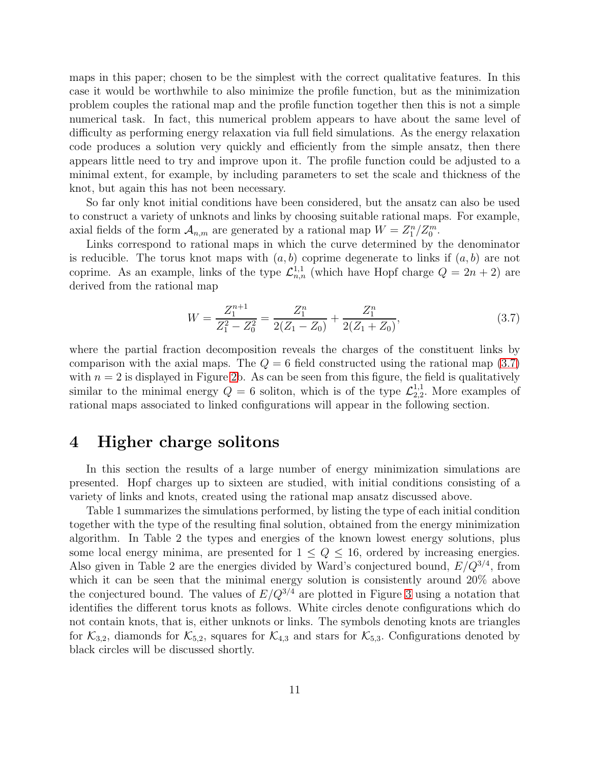maps in this paper; chosen to be the simplest with the correct qualitative features. In this case it would be worthwhile to also minimize the profile function, but as the minimization problem couples the rational map and the profile function together then this is not a simple numerical task. In fact, this numerical problem appears to have about the same level of difficulty as performing energy relaxation via full field simulations. As the energy relaxation code produces a solution very quickly and efficiently from the simple ansatz, then there appears little need to try and improve upon it. The profile function could be adjusted to a minimal extent, for example, by including parameters to set the scale and thickness of the knot, but again this has not been necessary.

So far only knot initial conditions have been considered, but the ansatz can also be used to construct a variety of unknots and links by choosing suitable rational maps. For example, axial fields of the form  $A_{n,m}$  are generated by a rational map  $W = Z_1^n/Z_0^m$ .

Links correspond to rational maps in which the curve determined by the denominator is reducible. The torus knot maps with  $(a, b)$  coprime degenerate to links if  $(a, b)$  are not coprime. As an example, links of the type  $\mathcal{L}_{n,n}^{1,1}$  (which have Hopf charge  $Q = 2n + 2$ ) are derived from the rational map

<span id="page-10-0"></span>
$$
W = \frac{Z_1^{n+1}}{Z_1^2 - Z_0^2} = \frac{Z_1^n}{2(Z_1 - Z_0)} + \frac{Z_1^n}{2(Z_1 + Z_0)},
$$
\n(3.7)

where the partial fraction decomposition reveals the charges of the constituent links by comparison with the axial maps. The  $Q = 6$  field constructed using the rational map [\(3.7\)](#page-10-0) with  $n = 2$  is displayed in Figure [2b](#page-9-0). As can be seen from this figure, the field is qualitatively similar to the minimal energy  $Q = 6$  soliton, which is of the type  $\mathcal{L}_{2,2}^{1,1}$  $_{2,2}^{1,1}$ . More examples of rational maps associated to linked configurations will appear in the following section.

#### 4 Higher charge solitons

In this section the results of a large number of energy minimization simulations are presented. Hopf charges up to sixteen are studied, with initial conditions consisting of a variety of links and knots, created using the rational map ansatz discussed above.

Table 1 summarizes the simulations performed, by listing the type of each initial condition together with the type of the resulting final solution, obtained from the energy minimization algorithm. In Table 2 the types and energies of the known lowest energy solutions, plus some local energy minima, are presented for  $1 \le Q \le 16$ , ordered by increasing energies. Also given in Table 2 are the energies divided by Ward's conjectured bound,  $E/Q^{3/4}$ , from which it can be seen that the minimal energy solution is consistently around 20% above the conjectured bound. The values of  $E/Q^{3/4}$  are plotted in Figure [3](#page-12-0) using a notation that identifies the different torus knots as follows. White circles denote configurations which do not contain knots, that is, either unknots or links. The symbols denoting knots are triangles for  $\mathcal{K}_{3,2}$ , diamonds for  $\mathcal{K}_{5,2}$ , squares for  $\mathcal{K}_{4,3}$  and stars for  $\mathcal{K}_{5,3}$ . Configurations denoted by black circles will be discussed shortly.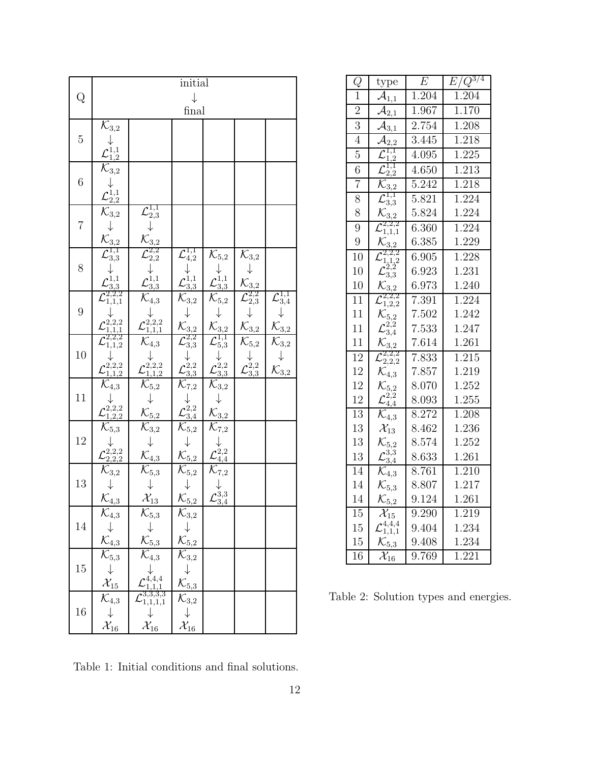|                | initial                                                                                                                                                        |                                                                                                                                                                                                                                                                                                                 |                                                                                                                                    |                                                                                                        |                                                                                                      |                                                                                                    |  |
|----------------|----------------------------------------------------------------------------------------------------------------------------------------------------------------|-----------------------------------------------------------------------------------------------------------------------------------------------------------------------------------------------------------------------------------------------------------------------------------------------------------------|------------------------------------------------------------------------------------------------------------------------------------|--------------------------------------------------------------------------------------------------------|------------------------------------------------------------------------------------------------------|----------------------------------------------------------------------------------------------------|--|
| Q              | $\downarrow$                                                                                                                                                   |                                                                                                                                                                                                                                                                                                                 |                                                                                                                                    |                                                                                                        |                                                                                                      |                                                                                                    |  |
|                | final                                                                                                                                                          |                                                                                                                                                                                                                                                                                                                 |                                                                                                                                    |                                                                                                        |                                                                                                      |                                                                                                    |  |
| $\mathbf 5$    | $\overline{\mathcal{K}}_{3,2}$                                                                                                                                 |                                                                                                                                                                                                                                                                                                                 |                                                                                                                                    |                                                                                                        |                                                                                                      |                                                                                                    |  |
|                |                                                                                                                                                                |                                                                                                                                                                                                                                                                                                                 |                                                                                                                                    |                                                                                                        |                                                                                                      |                                                                                                    |  |
| 6              |                                                                                                                                                                |                                                                                                                                                                                                                                                                                                                 |                                                                                                                                    |                                                                                                        |                                                                                                      |                                                                                                    |  |
|                |                                                                                                                                                                |                                                                                                                                                                                                                                                                                                                 |                                                                                                                                    |                                                                                                        |                                                                                                      |                                                                                                    |  |
|                | ${\cal L}^{1,1}_{1,2} \over \cal K_{3,2} \over \cal K_{3,2} \over \cal K_{3,2} \over \cal K_{3,2} \over \cal K_{3,3} \over \cal L_{3,3}^{1,1}$                 |                                                                                                                                                                                                                                                                                                                 |                                                                                                                                    |                                                                                                        |                                                                                                      |                                                                                                    |  |
| $\overline{7}$ |                                                                                                                                                                |                                                                                                                                                                                                                                                                                                                 |                                                                                                                                    |                                                                                                        |                                                                                                      |                                                                                                    |  |
|                |                                                                                                                                                                |                                                                                                                                                                                                                                                                                                                 |                                                                                                                                    |                                                                                                        |                                                                                                      |                                                                                                    |  |
|                |                                                                                                                                                                |                                                                                                                                                                                                                                                                                                                 |                                                                                                                                    |                                                                                                        |                                                                                                      |                                                                                                    |  |
| 8              |                                                                                                                                                                |                                                                                                                                                                                                                                                                                                                 | $\mathcal{L}^{1,1}_{4,2}$                                                                                                          | $\mathcal{K}_{5,2}$                                                                                    |                                                                                                      |                                                                                                    |  |
|                |                                                                                                                                                                |                                                                                                                                                                                                                                                                                                                 |                                                                                                                                    |                                                                                                        |                                                                                                      |                                                                                                    |  |
|                |                                                                                                                                                                |                                                                                                                                                                                                                                                                                                                 |                                                                                                                                    |                                                                                                        |                                                                                                      |                                                                                                    |  |
| 9              | $\mathcal{L}_{3,3}^{1,1}$<br>$\mathcal{L}_{3,3}^{1,1}$<br>$\downarrow$<br>$\mathcal{L}_{1,1,1}^{2,2,2}$                                                        |                                                                                                                                                                                                                                                                                                                 | ${\cal L}^{1,1}_{3,3} \over \mathcal{K}_{3,2} \atop \mathcal{K}_{3,2}$                                                             | ${\cal L}^{1,1}_{3,3} \over \mathcal{K}_{5,2} \atop \mathcal{K}_{3,2}$                                 | ${\cal K}_{3,2} \atop {\cal K}_{3,2} \atop {\cal K}_{2,3} \atop {\cal K}_{3,2} \atop {\cal K}_{3,2}$ | $\mathcal{L}_{3,4}^{1,1}$                                                                          |  |
|                |                                                                                                                                                                |                                                                                                                                                                                                                                                                                                                 |                                                                                                                                    |                                                                                                        |                                                                                                      |                                                                                                    |  |
|                |                                                                                                                                                                |                                                                                                                                                                                                                                                                                                                 |                                                                                                                                    |                                                                                                        |                                                                                                      | $\mathcal{K}_{\underline{3,2}}$                                                                    |  |
| 10             |                                                                                                                                                                |                                                                                                                                                                                                                                                                                                                 |                                                                                                                                    |                                                                                                        |                                                                                                      |                                                                                                    |  |
|                | ${\mathcal L}_{1,1,1}^{2,2,2}\atop {\mathcal L}_{1,1,2}^{2,2,2}\atop {\mathcal L}_{1,1,2}^{2,2,2} \atop {\mathcal L}_{1,1,2}^{2,2,2}$                          | $\begin{array}{c} {\cal L}^{1,1}_{2,3} \ \downarrow \ {\cal K}_{3,2} \ {\cal L}^{2,2}_{2,2} \ \downarrow \ {\cal L}^{1,1}_{3,3} \ {\cal K}_{4,3} \ {\downarrow} \ {\cal L}^{2,2}_{1,1,2} \ {\cal K}_{4,3} \ {\downarrow} \ {\cal L}^{2,2,2}_{1,1,2} \ {\cal K}_{5,2} \ \downarrow \ {\cal K}_{5,2} \end{array}$ | $\overline{\mathcal{L}^{2,2}_{3,3}}$<br>$\downarrow \mathcal{L}^{2,2}_{3,3}$<br>$\overline{\mathcal{K}^{2,2}_{3,3}}$               | $\begin{array}{r} \mathcal{L}^{1,1}_{5,3} \ \downarrow\ 2^{2,2}_{3,3} \ \mathcal{K}_{3,2} \end{array}$ | $\overline{\mathcal{K}_{5,2}\brace{\mathcal{L}^{2,2}_{3,3}}}$                                        | $\overline{\begin{matrix} \mathcal{K}_{3,2} \ \mathcal{K}_{3,2} \ \mathcal{K}_{3,2} \end{matrix}}$ |  |
|                | $\overline{\mathcal{K}_{4,3}}$                                                                                                                                 |                                                                                                                                                                                                                                                                                                                 |                                                                                                                                    |                                                                                                        |                                                                                                      |                                                                                                    |  |
| 11             |                                                                                                                                                                |                                                                                                                                                                                                                                                                                                                 |                                                                                                                                    |                                                                                                        |                                                                                                      |                                                                                                    |  |
|                | $\mathcal L^{\mathcal V_{2,2,2}}_{1,2,2} \over \mathcal K_{5,3}$                                                                                               |                                                                                                                                                                                                                                                                                                                 | $\begin{array}{c} \n\downarrow \ \n\downarrow \ \n\downarrow \ \n\chi_{3,4}^{2,2} \n\hline\n\chi_{5,2} \n\downarrow \n\end{array}$ | $\mathcal{\overline{K}}_{3,2}^{\mathbf{\overline{v}}}$                                                 |                                                                                                      |                                                                                                    |  |
|                |                                                                                                                                                                | $\overline{\mathcal{K}^3_{3,2}}$<br>$\downarrow$<br>$\mathcal{K}_{4,3}$                                                                                                                                                                                                                                         |                                                                                                                                    | $\overline{\mathcal{K}_{7,2}\brace{\mathcal{L}^{2,2}_{4,4}}^{\mathcal{K}_{7,2}}}$                      |                                                                                                      |                                                                                                    |  |
| 12             |                                                                                                                                                                |                                                                                                                                                                                                                                                                                                                 |                                                                                                                                    |                                                                                                        |                                                                                                      |                                                                                                    |  |
|                |                                                                                                                                                                |                                                                                                                                                                                                                                                                                                                 | $\mathcal{K}_{5,2}$                                                                                                                |                                                                                                        |                                                                                                      |                                                                                                    |  |
| 13             |                                                                                                                                                                |                                                                                                                                                                                                                                                                                                                 | $\overline{\mathcal{K}_{5,2}}$                                                                                                     |                                                                                                        |                                                                                                      |                                                                                                    |  |
|                | $\begin{array}{c}\n\downarrow \\ \underline{\mathcal{L}^{2,2,2}_{2,2,2}} \\ \hline\n\mathcal{K}_{3,2} \\ \downarrow \\ \hline\n\mathcal{K}_{4,3}\n\end{array}$ | $\overline{\mathcal{K}_{5,3}\over \mathcal{X}_{13}}$                                                                                                                                                                                                                                                            | $\downarrow$<br>$\mathcal{K}_{\underline{5,2}}$                                                                                    | $\zeta_{3,4}^{\r3,3}$                                                                                  |                                                                                                      |                                                                                                    |  |
|                | $\overline{\mathcal{K}_{4,3}}$                                                                                                                                 | $\overline{\mathcal{K}_{5,3}}$                                                                                                                                                                                                                                                                                  | $\overline{\mathcal{K}_{3,2}}$                                                                                                     |                                                                                                        |                                                                                                      |                                                                                                    |  |
| 14             | $\downarrow$                                                                                                                                                   | $\downarrow$                                                                                                                                                                                                                                                                                                    |                                                                                                                                    |                                                                                                        |                                                                                                      |                                                                                                    |  |
|                | $\mathcal{K}_{4,3}$                                                                                                                                            | $\mathcal{K}_{5,3}$                                                                                                                                                                                                                                                                                             | $\mathcal{K}_{\underline{5,2}}$                                                                                                    |                                                                                                        |                                                                                                      |                                                                                                    |  |
| 15             | $\bar{\mathcal{K}}_{5,3}$                                                                                                                                      | $\overline{\mathcal{K}}_{4,3}$                                                                                                                                                                                                                                                                                  | $\mathcal{K}_{3,2}$                                                                                                                |                                                                                                        |                                                                                                      |                                                                                                    |  |
|                | $\downarrow$                                                                                                                                                   | 4,4,4                                                                                                                                                                                                                                                                                                           |                                                                                                                                    |                                                                                                        |                                                                                                      |                                                                                                    |  |
|                | $\mathcal{X}_{15}$                                                                                                                                             | , 1, 1                                                                                                                                                                                                                                                                                                          | $\mathcal{K}_{5,3}$                                                                                                                |                                                                                                        |                                                                                                      |                                                                                                    |  |
| 16             | $\overline{\mathcal{K}}_{4,3}$                                                                                                                                 | $\mathcal{L}^{3,3,3,3}_{1,1,1,1}$                                                                                                                                                                                                                                                                               | $\mathcal{K}_{3,2}$                                                                                                                |                                                                                                        |                                                                                                      |                                                                                                    |  |
|                | $\downarrow$                                                                                                                                                   |                                                                                                                                                                                                                                                                                                                 | $\downarrow$                                                                                                                       |                                                                                                        |                                                                                                      |                                                                                                    |  |
|                | $\mathcal{X}_{16}$                                                                                                                                             | $\mathcal{X}_{16}$                                                                                                                                                                                                                                                                                              | $\mathcal{X}_{16}$                                                                                                                 |                                                                                                        |                                                                                                      |                                                                                                    |  |

| Q               | type                                      | $\overline{E}$     | $E\overline{Q^{3/4}}$ |  |
|-----------------|-------------------------------------------|--------------------|-----------------------|--|
| $\mathbf 1$     | $\mathcal{A}_{1,1}$                       | 1.204              | 1.204                 |  |
| $\overline{2}$  | $^{2,1}$                                  | 1.967              | 1.170                 |  |
| 3               | 3,1                                       | 2.754              | 1.208                 |  |
| $\overline{4}$  | $^{2,2}$                                  | $\overline{3}.445$ | 1.218                 |  |
| $\overline{5}$  | $_{1,1}$                                  | 4.095              | 1.225                 |  |
| $\overline{6}$  | 1,1<br>2,2                                | 4.650              | 1.213                 |  |
| $\overline{7}$  | 3,2                                       | 5.242              | 1.218                 |  |
| 8               | $\frac{1}{3}$                             | 5.821              | 1.224                 |  |
| 8               | $\mathcal{K}_{3,2}$                       | 5.824              | 1.224                 |  |
| 9               | $^{2,2,2}$<br>1,1,1                       | 6.360              | 1.224                 |  |
| 9               | $\mathcal{K}_{3,2}$                       | 6.385              | 1.229                 |  |
| 10              | $^{2,2,2}$<br>1,2                         | 6.905              | 1.228                 |  |
| 10              | $3,\!\!3$                                 | 6.923              | 1.231                 |  |
| 10              | 3.2                                       | 6.973              | 1.240                 |  |
| 11              | $^{2,2,2}$<br>1,2,2                       | 7.391              | 1.224                 |  |
| 11              | $\mathcal{K}_{5,2}$                       | 7.502              | 1.242                 |  |
| 11              | $^{3,4}$                                  | 7.533              | 1.247                 |  |
| 11              | $\mathcal{K}_{3,2}$                       | 7.614              | 1.261                 |  |
| $\overline{12}$ | $\frac{2,2,2}{2,2,2}$                     | 7.833              | 1.215                 |  |
| 12              | $\mathcal{K}_{4,3}$                       | 7.857              | 1.219                 |  |
| 12              | $\mathcal{K}_{5,2}$                       | 8.070              | 1.252                 |  |
| 12              | $\mathcal{L}^{\tilde{2},\tilde{2}}_{4,4}$ | 8.093              | 1.255                 |  |
| 13              | $\mathcal{K}_{4,3}$                       | 8.272              | 1.208                 |  |
| 13              | $\mathcal{X}_{13}$                        | 8.462              | 1.236                 |  |
| 13              | $\mathcal{K}_{5,2}$                       | 8.574              | 1.252                 |  |
| 13              | 3,3<br>3,4                                | 8.633              | 1.261                 |  |
| 14              | $\mathcal{K}_{4,3}$                       | 8.761              | 1.210                 |  |
| 14              | $\mathcal{K}_{5,3}$                       | 8.807              | 1.217                 |  |
| 14              | $\mathcal{K}_{5,2}$                       | 9.124              | 1.261                 |  |
| $\overline{15}$ | $\mathcal{X}_{15}$                        | 9.290              | $\frac{1}{219}$       |  |
| 15              | $\binom{4,4,4}{1,1,1}$                    | 9.404              | 1.234                 |  |
| 15              | $\mathcal{K}_{5,3}$                       | 9.408              | 1.234                 |  |
| $\overline{16}$ | $\mathcal{X}_{16}$                        | 9.769              | 1.221                 |  |

Table 2: Solution types and energies.

Table 1: Initial conditions and final solutions.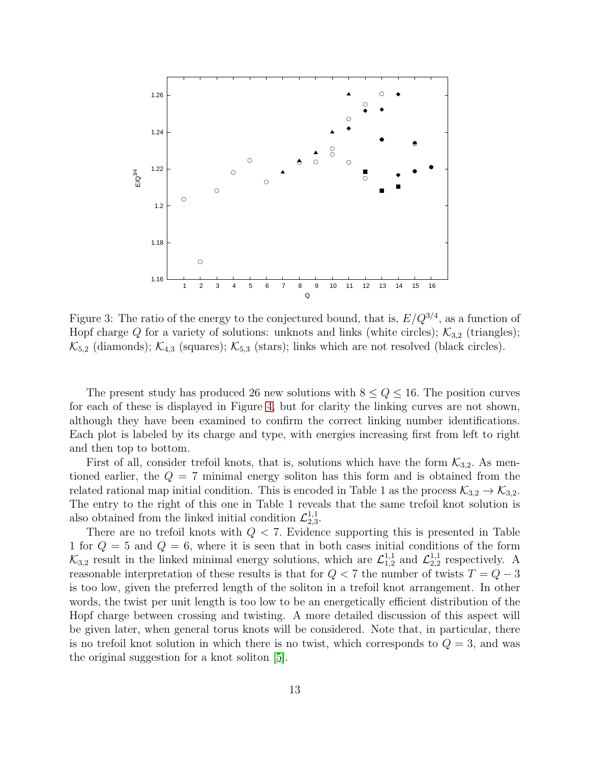

<span id="page-12-0"></span>Figure 3: The ratio of the energy to the conjectured bound, that is,  $E/Q^{3/4}$ , as a function of Hopf charge Q for a variety of solutions: unknots and links (white circles);  $\mathcal{K}_{3,2}$  (triangles);  $\mathcal{K}_{5,2}$  (diamonds);  $\mathcal{K}_{4,3}$  (squares);  $\mathcal{K}_{5,3}$  (stars); links which are not resolved (black circles).

The present study has produced 26 new solutions with  $8 \le Q \le 16$ . The position curves for each of these is displayed in Figure [4,](#page-13-0) but for clarity the linking curves are not shown, although they have been examined to confirm the correct linking number identifications. Each plot is labeled by its charge and type, with energies increasing first from left to right and then top to bottom.

First of all, consider trefoil knots, that is, solutions which have the form  $\mathcal{K}_{3,2}$ . As mentioned earlier, the  $Q = 7$  minimal energy soliton has this form and is obtained from the related rational map initial condition. This is encoded in Table 1 as the process  $\mathcal{K}_{3,2} \to \mathcal{K}_{3,2}$ . The entry to the right of this one in Table 1 reveals that the same trefoil knot solution is also obtained from the linked initial condition  $\mathcal{L}_{2,3}^{1,1}$  $^{1,1}_{2,3}$ .

There are no trefoil knots with  $Q < 7$ . Evidence supporting this is presented in Table 1 for  $Q = 5$  and  $Q = 6$ , where it is seen that in both cases initial conditions of the form  $\mathcal{K}_{3,2}$  result in the linked minimal energy solutions, which are  $\mathcal{L}_{1,2}^{1,1}$  and  $\mathcal{L}_{2,2}^{1,1}$  $_{2,2}^{1,1}$  respectively. A reasonable interpretation of these results is that for  $Q < 7$  the number of twists  $T = Q - 3$ is too low, given the preferred length of the soliton in a trefoil knot arrangement. In other words, the twist per unit length is too low to be an energetically efficient distribution of the Hopf charge between crossing and twisting. A more detailed discussion of this aspect will be given later, when general torus knots will be considered. Note that, in particular, there is no trefoil knot solution in which there is no twist, which corresponds to  $Q = 3$ , and was the original suggestion for a knot soliton [\[5\]](#page-19-1).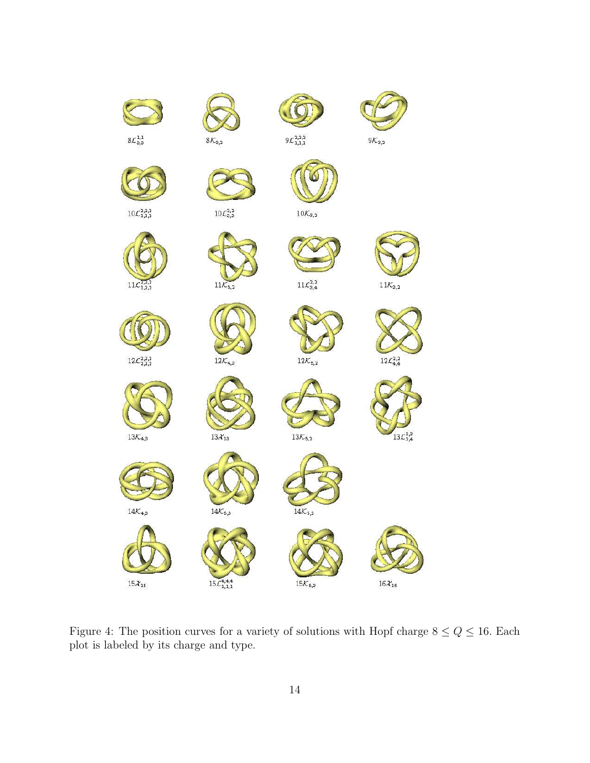<span id="page-13-0"></span>

Figure 4: The position curves for a variety of solutions with Hopf charge  $8 \le Q \le 16$ . Each plot is labeled by its charge and type.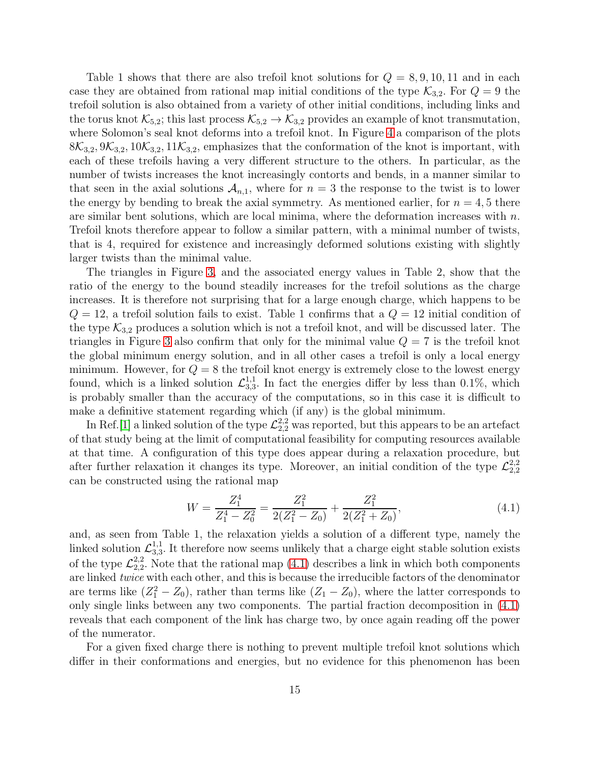Table 1 shows that there are also trefoil knot solutions for  $Q = 8, 9, 10, 11$  and in each case they are obtained from rational map initial conditions of the type  $\mathcal{K}_{3,2}$ . For  $Q = 9$  the trefoil solution is also obtained from a variety of other initial conditions, including links and the torus knot  $\mathcal{K}_{5,2}$ ; this last process  $\mathcal{K}_{5,2} \to \mathcal{K}_{3,2}$  provides an example of knot transmutation, where Solomon's seal knot deforms into a trefoil knot. In Figure [4](#page-13-0) a comparison of the plots  $8\mathcal{K}_{3,2}, 9\mathcal{K}_{3,2}, 10\mathcal{K}_{3,2}, 11\mathcal{K}_{3,2}$ , emphasizes that the conformation of the knot is important, with each of these trefoils having a very different structure to the others. In particular, as the number of twists increases the knot increasingly contorts and bends, in a manner similar to that seen in the axial solutions  $A_{n,1}$ , where for  $n = 3$  the response to the twist is to lower the energy by bending to break the axial symmetry. As mentioned earlier, for  $n = 4, 5$  there are similar bent solutions, which are local minima, where the deformation increases with  $n$ . Trefoil knots therefore appear to follow a similar pattern, with a minimal number of twists, that is 4, required for existence and increasingly deformed solutions existing with slightly larger twists than the minimal value.

The triangles in Figure [3,](#page-12-0) and the associated energy values in Table 2, show that the ratio of the energy to the bound steadily increases for the trefoil solutions as the charge increases. It is therefore not surprising that for a large enough charge, which happens to be  $Q = 12$ , a trefoil solution fails to exist. Table 1 confirms that a  $Q = 12$  initial condition of the type  $\mathcal{K}_{3,2}$  produces a solution which is not a trefoil knot, and will be discussed later. The triangles in Figure [3](#page-12-0) also confirm that only for the minimal value  $Q = 7$  is the trefoil knot the global minimum energy solution, and in all other cases a trefoil is only a local energy minimum. However, for  $Q = 8$  the trefoil knot energy is extremely close to the lowest energy found, which is a linked solution  $\mathcal{L}_{3,3}^{1,1}$  $^{1,1}_{3,3}$ . In fact the energies differ by less than 0.1%, which is probably smaller than the accuracy of the computations, so in this case it is difficult to make a definitive statement regarding which (if any) is the global minimum.

In Ref. [\[1\]](#page-19-3) a linked solution of the type  $\mathcal{L}_{2,2}^{2,2}$  was reported, but this appears to be an artefact of that study being at the limit of computational feasibility for computing resources available at that time. A configuration of this type does appear during a relaxation procedure, but after further relaxation it changes its type. Moreover, an initial condition of the type  $\mathcal{L}_{2,2}^{2,2}$ 2,2 can be constructed using the rational map

<span id="page-14-0"></span>
$$
W = \frac{Z_1^4}{Z_1^4 - Z_0^2} = \frac{Z_1^2}{2(Z_1^2 - Z_0)} + \frac{Z_1^2}{2(Z_1^2 + Z_0)},
$$
\n(4.1)

and, as seen from Table 1, the relaxation yields a solution of a different type, namely the linked solution  $\mathcal{L}_{3,3}^{1,1}$  $3,3,1$ . It therefore now seems unlikely that a charge eight stable solution exists of the type  $\mathcal{L}^{2,2}_{2,2}$  $_{2,2}^{2,2}$ . Note that the rational map  $(4.1)$  describes a link in which both components are linked twice with each other, and this is because the irreducible factors of the denominator are terms like  $(Z_1^2 - Z_0)$ , rather than terms like  $(Z_1 - Z_0)$ , where the latter corresponds to only single links between any two components. The partial fraction decomposition in [\(4.1\)](#page-14-0) reveals that each component of the link has charge two, by once again reading off the power of the numerator.

For a given fixed charge there is nothing to prevent multiple trefoil knot solutions which differ in their conformations and energies, but no evidence for this phenomenon has been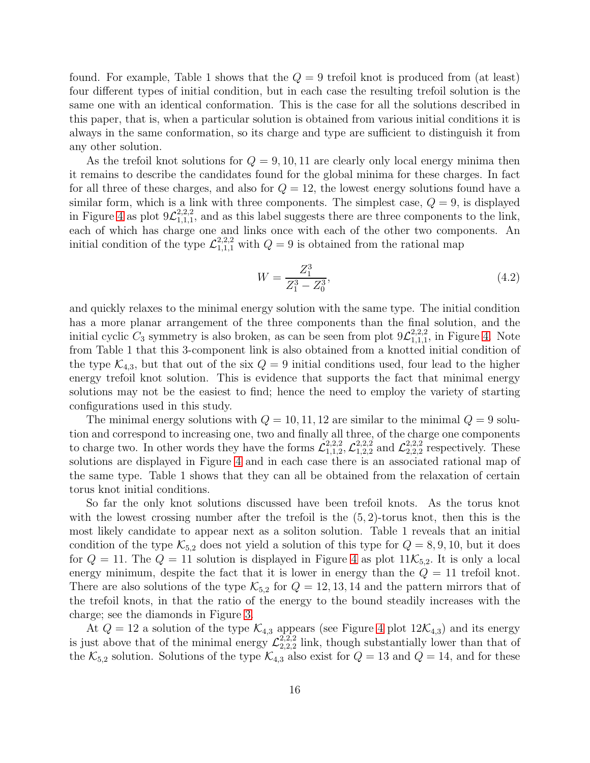found. For example, Table 1 shows that the  $Q = 9$  trefoil knot is produced from (at least) four different types of initial condition, but in each case the resulting trefoil solution is the same one with an identical conformation. This is the case for all the solutions described in this paper, that is, when a particular solution is obtained from various initial conditions it is always in the same conformation, so its charge and type are sufficient to distinguish it from any other solution.

As the trefoil knot solutions for  $Q = 9, 10, 11$  are clearly only local energy minima then it remains to describe the candidates found for the global minima for these charges. In fact for all three of these charges, and also for  $Q = 12$ , the lowest energy solutions found have a similar form, which is a link with three components. The simplest case,  $Q = 9$ , is displayed in Figure [4](#page-13-0) as plot  $9\mathcal{L}^{2,2,2}_{1,1,1}$  $_{1,1,1}^{2,2,2}$ , and as this label suggests there are three components to the link, each of which has charge one and links once with each of the other two components. An initial condition of the type  $\mathcal{L}_{1,1,1}^{2,2,2}$  with  $Q=9$  is obtained from the rational map

$$
W = \frac{Z_1^3}{Z_1^3 - Z_0^3},\tag{4.2}
$$

and quickly relaxes to the minimal energy solution with the same type. The initial condition has a more planar arrangement of the three components than the final solution, and the initial cyclic  $C_3$  symmetry is also broken, as can be seen from plot  $9\mathcal{L}_{1,1,1}^{2,2,2}$  $_{1,1,1}^{2,2,2}$ , in Figure [4.](#page-13-0) Note from Table 1 that this 3-component link is also obtained from a knotted initial condition of the type  $\mathcal{K}_{4,3}$ , but that out of the six  $Q = 9$  initial conditions used, four lead to the higher energy trefoil knot solution. This is evidence that supports the fact that minimal energy solutions may not be the easiest to find; hence the need to employ the variety of starting configurations used in this study.

The minimal energy solutions with  $Q = 10, 11, 12$  are similar to the minimal  $Q = 9$  solution and correspond to increasing one, two and finally all three, of the charge one components to charge two. In other words they have the forms  $\mathcal{L}_{1,1,2}^{2,2,2}$  $\mathcal{L}_{1,1,2}^{2,2,2}, \mathcal{L}_{1,2,2}^{2,2,2} \text{ and } \mathcal{L}_{2,2,2}^{2,2,2}$  $_{2,2,2}^{2,2,2}$  respectively. These solutions are displayed in Figure [4](#page-13-0) and in each case there is an associated rational map of the same type. Table 1 shows that they can all be obtained from the relaxation of certain torus knot initial conditions.

So far the only knot solutions discussed have been trefoil knots. As the torus knot with the lowest crossing number after the trefoil is the (5, 2)-torus knot, then this is the most likely candidate to appear next as a soliton solution. Table 1 reveals that an initial condition of the type  $\mathcal{K}_{5,2}$  does not yield a solution of this type for  $Q = 8, 9, 10$ , but it does for  $Q = 11$ . The  $Q = 11$  solution is displayed in Figure [4](#page-13-0) as plot  $11K_{5,2}$ . It is only a local energy minimum, despite the fact that it is lower in energy than the  $Q = 11$  trefoil knot. There are also solutions of the type  $\mathcal{K}_{5,2}$  for  $Q = 12, 13, 14$  and the pattern mirrors that of the trefoil knots, in that the ratio of the energy to the bound steadily increases with the charge; see the diamonds in Figure [3.](#page-12-0)

At  $Q = 12$  a solution of the type  $\mathcal{K}_{4,3}$  appears (see Figure [4](#page-13-0) plot  $12\mathcal{K}_{4,3}$ ) and its energy is just above that of the minimal energy  $\mathcal{L}_{2,2,2}^{2,2,2}$  $_{2,2,2}^{2,2,2}$  link, though substantially lower than that of the  $\mathcal{K}_{5,2}$  solution. Solutions of the type  $\mathcal{K}_{4,3}$  also exist for  $Q = 13$  and  $Q = 14$ , and for these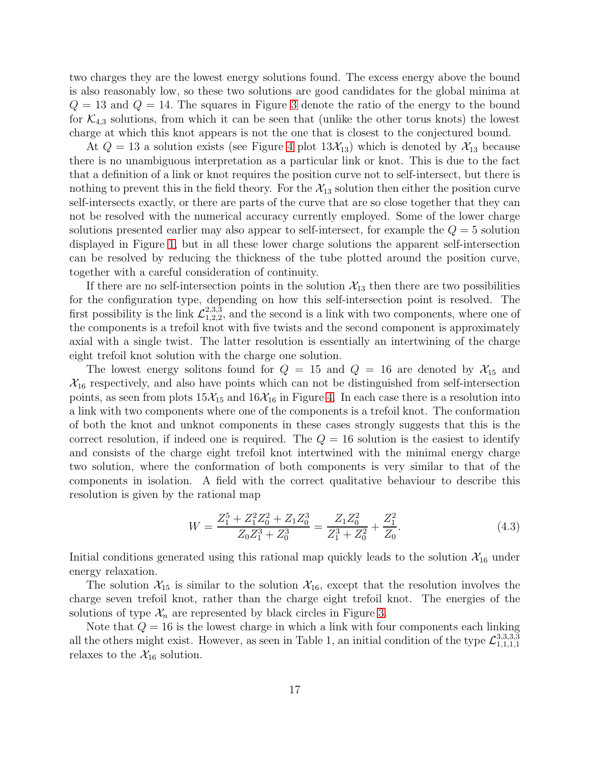two charges they are the lowest energy solutions found. The excess energy above the bound is also reasonably low, so these two solutions are good candidates for the global minima at  $Q = 13$  and  $Q = 14$ . The squares in Figure [3](#page-12-0) denote the ratio of the energy to the bound for  $\mathcal{K}_{4,3}$  solutions, from which it can be seen that (unlike the other torus knots) the lowest charge at which this knot appears is not the one that is closest to the conjectured bound.

At  $Q = 13$  a solution exists (see Figure [4](#page-13-0) plot  $13\mathcal{X}_{13}$ ) which is denoted by  $\mathcal{X}_{13}$  because there is no unambiguous interpretation as a particular link or knot. This is due to the fact that a definition of a link or knot requires the position curve not to self-intersect, but there is nothing to prevent this in the field theory. For the  $\mathcal{X}_{13}$  solution then either the position curve self-intersects exactly, or there are parts of the curve that are so close together that they can not be resolved with the numerical accuracy currently employed. Some of the lower charge solutions presented earlier may also appear to self-intersect, for example the  $Q = 5$  solution displayed in Figure [1,](#page-5-0) but in all these lower charge solutions the apparent self-intersection can be resolved by reducing the thickness of the tube plotted around the position curve, together with a careful consideration of continuity.

If there are no self-intersection points in the solution  $\mathcal{X}_{13}$  then there are two possibilities for the configuration type, depending on how this self-intersection point is resolved. The first possibility is the link  $\mathcal{L}_{1,2,2}^{2,3,\bar{3}}$  $2,3,3,2,2,3,3$  and the second is a link with two components, where one of the components is a trefoil knot with five twists and the second component is approximately axial with a single twist. The latter resolution is essentially an intertwining of the charge eight trefoil knot solution with the charge one solution.

The lowest energy solitons found for  $Q = 15$  and  $Q = 16$  are denoted by  $\mathcal{X}_{15}$  and  $\mathcal{X}_{16}$  respectively, and also have points which can not be distinguished from self-intersection points, as seen from plots  $15\mathcal{X}_{15}$  and  $16\mathcal{X}_{16}$  in Figure [4.](#page-13-0) In each case there is a resolution into a link with two components where one of the components is a trefoil knot. The conformation of both the knot and unknot components in these cases strongly suggests that this is the correct resolution, if indeed one is required. The  $Q = 16$  solution is the easiest to identify and consists of the charge eight trefoil knot intertwined with the minimal energy charge two solution, where the conformation of both components is very similar to that of the components in isolation. A field with the correct qualitative behaviour to describe this resolution is given by the rational map

$$
W = \frac{Z_1^5 + Z_1^2 Z_0^2 + Z_1 Z_0^3}{Z_0 Z_1^3 + Z_0^3} = \frac{Z_1 Z_0^2}{Z_1^3 + Z_0^2} + \frac{Z_1^2}{Z_0}.
$$
\n(4.3)

Initial conditions generated using this rational map quickly leads to the solution  $\mathcal{X}_{16}$  under energy relaxation.

The solution  $\mathcal{X}_{15}$  is similar to the solution  $\mathcal{X}_{16}$ , except that the resolution involves the charge seven trefoil knot, rather than the charge eight trefoil knot. The energies of the solutions of type  $\mathcal{X}_n$  are represented by black circles in Figure [3.](#page-12-0)

Note that  $Q = 16$  is the lowest charge in which a link with four components each linking all the others might exist. However, as seen in Table 1, an initial condition of the type  $\mathcal{L}_{1,1,1,1}^{3,3,3,3}$ 1,1,1,1 relaxes to the  $\mathcal{X}_{16}$  solution.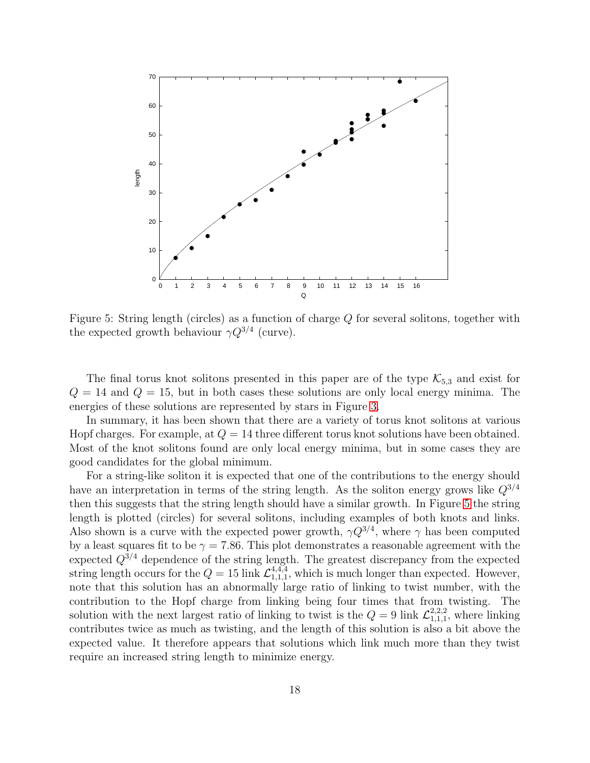

<span id="page-17-0"></span>Figure 5: String length (circles) as a function of charge  $Q$  for several solitons, together with the expected growth behaviour  $\gamma Q^{3/4}$  (curve).

The final torus knot solitons presented in this paper are of the type  $\mathcal{K}_{5,3}$  and exist for  $Q = 14$  and  $Q = 15$ , but in both cases these solutions are only local energy minima. The energies of these solutions are represented by stars in Figure [3.](#page-12-0)

In summary, it has been shown that there are a variety of torus knot solitons at various Hopf charges. For example, at  $Q = 14$  three different torus knot solutions have been obtained. Most of the knot solitons found are only local energy minima, but in some cases they are good candidates for the global minimum.

For a string-like soliton it is expected that one of the contributions to the energy should have an interpretation in terms of the string length. As the soliton energy grows like  $Q^{3/4}$ then this suggests that the string length should have a similar growth. In Figure [5](#page-17-0) the string length is plotted (circles) for several solitons, including examples of both knots and links. Also shown is a curve with the expected power growth,  $\gamma Q^{3/4}$ , where  $\gamma$  has been computed by a least squares fit to be  $\gamma = 7.86$ . This plot demonstrates a reasonable agreement with the expected  $Q^{3/4}$  dependence of the string length. The greatest discrepancy from the expected string length occurs for the  $Q = 15$  link  $\mathcal{L}^{4,4,4}_{1,1,1}$  $_{1,1,1}^{4,4,4}$ , which is much longer than expected. However, note that this solution has an abnormally large ratio of linking to twist number, with the contribution to the Hopf charge from linking being four times that from twisting. The solution with the next largest ratio of linking to twist is the  $Q = 9$  link  $\mathcal{L}_{1,1,1}^{2,2,2}$  $_{1,1,1}^{2,2,2}$ , where linking contributes twice as much as twisting, and the length of this solution is also a bit above the expected value. It therefore appears that solutions which link much more than they twist require an increased string length to minimize energy.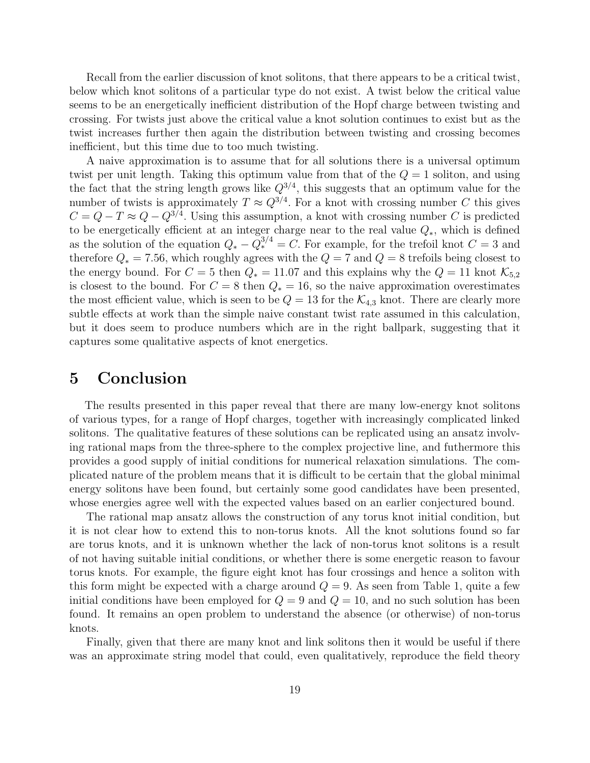Recall from the earlier discussion of knot solitons, that there appears to be a critical twist, below which knot solitons of a particular type do not exist. A twist below the critical value seems to be an energetically inefficient distribution of the Hopf charge between twisting and crossing. For twists just above the critical value a knot solution continues to exist but as the twist increases further then again the distribution between twisting and crossing becomes inefficient, but this time due to too much twisting.

A naive approximation is to assume that for all solutions there is a universal optimum twist per unit length. Taking this optimum value from that of the  $Q = 1$  soliton, and using the fact that the string length grows like  $Q^{3/4}$ , this suggests that an optimum value for the number of twists is approximately  $T \approx Q^{3/4}$ . For a knot with crossing number C this gives  $C = Q - T \approx Q - Q^{3/4}$ . Using this assumption, a knot with crossing number C is predicted to be energetically efficient at an integer charge near to the real value  $Q_*$ , which is defined as the solution of the equation  $Q_* - \tilde{Q}^{3/4}_* = C$ . For example, for the trefoil knot  $C = 3$  and therefore  $Q_* = 7.56$ , which roughly agrees with the  $Q = 7$  and  $Q = 8$  trefoils being closest to the energy bound. For  $C = 5$  then  $Q_* = 11.07$  and this explains why the  $Q = 11$  knot  $\mathcal{K}_{5,2}$ is closest to the bound. For  $C = 8$  then  $Q_* = 16$ , so the naive approximation overestimates the most efficient value, which is seen to be  $Q = 13$  for the  $\mathcal{K}_{4,3}$  knot. There are clearly more subtle effects at work than the simple naive constant twist rate assumed in this calculation, but it does seem to produce numbers which are in the right ballpark, suggesting that it captures some qualitative aspects of knot energetics.

# 5 Conclusion

The results presented in this paper reveal that there are many low-energy knot solitons of various types, for a range of Hopf charges, together with increasingly complicated linked solitons. The qualitative features of these solutions can be replicated using an ansatz involving rational maps from the three-sphere to the complex projective line, and futhermore this provides a good supply of initial conditions for numerical relaxation simulations. The complicated nature of the problem means that it is difficult to be certain that the global minimal energy solitons have been found, but certainly some good candidates have been presented, whose energies agree well with the expected values based on an earlier conjectured bound.

The rational map ansatz allows the construction of any torus knot initial condition, but it is not clear how to extend this to non-torus knots. All the knot solutions found so far are torus knots, and it is unknown whether the lack of non-torus knot solitons is a result of not having suitable initial conditions, or whether there is some energetic reason to favour torus knots. For example, the figure eight knot has four crossings and hence a soliton with this form might be expected with a charge around  $Q = 9$ . As seen from Table 1, quite a few initial conditions have been employed for  $Q = 9$  and  $Q = 10$ , and no such solution has been found. It remains an open problem to understand the absence (or otherwise) of non-torus knots.

Finally, given that there are many knot and link solitons then it would be useful if there was an approximate string model that could, even qualitatively, reproduce the field theory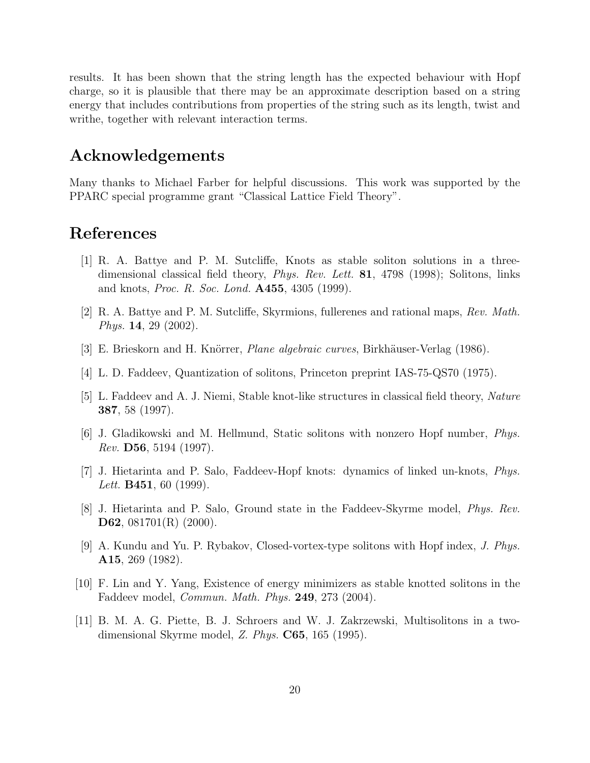results. It has been shown that the string length has the expected behaviour with Hopf charge, so it is plausible that there may be an approximate description based on a string energy that includes contributions from properties of the string such as its length, twist and writhe, together with relevant interaction terms.

# Acknowledgements

Many thanks to Michael Farber for helpful discussions. This work was supported by the PPARC special programme grant "Classical Lattice Field Theory".

# <span id="page-19-3"></span>References

- [1] R. A. Battye and P. M. Sutcliffe, Knots as stable soliton solutions in a threedimensional classical field theory, *Phys. Rev. Lett.* **81**, 4798 (1998); Solitons, links and knots, *Proc. R. Soc. Lond.* **A455**, 4305 (1999).
- <span id="page-19-10"></span><span id="page-19-9"></span>[2] R. A. Battye and P. M. Sutcliffe, Skyrmions, fullerenes and rational maps, Rev. Math. Phys. 14, 29 (2002).
- <span id="page-19-0"></span>[3] E. Brieskorn and H. Knörrer, *Plane algebraic curves*, Birkhäuser-Verlag (1986).
- <span id="page-19-1"></span>[4] L. D. Faddeev, Quantization of solitons, Princeton preprint IAS-75-QS70 (1975).
- <span id="page-19-2"></span>[5] L. Faddeev and A. J. Niemi, Stable knot-like structures in classical field theory, Nature 387, 58 (1997).
- <span id="page-19-4"></span>[6] J. Gladikowski and M. Hellmund, Static solitons with nonzero Hopf number, Phys. Rev. D56, 5194 (1997).
- <span id="page-19-5"></span>[7] J. Hietarinta and P. Salo, Faddeev-Hopf knots: dynamics of linked un-knots, Phys. *Lett.* **B451**, 60 (1999).
- <span id="page-19-6"></span>[8] J. Hietarinta and P. Salo, Ground state in the Faddeev-Skyrme model, Phys. Rev. D62, 081701(R) (2000).
- [9] A. Kundu and Yu. P. Rybakov, Closed-vortex-type solitons with Hopf index, J. Phys. A15, 269 (1982).
- <span id="page-19-7"></span>[10] F. Lin and Y. Yang, Existence of energy minimizers as stable knotted solitons in the Faddeev model, Commun. Math. Phys. 249, 273 (2004).
- <span id="page-19-8"></span>[11] B. M. A. G. Piette, B. J. Schroers and W. J. Zakrzewski, Multisolitons in a twodimensional Skyrme model,  $Z. Phys. C65, 165 (1995).$